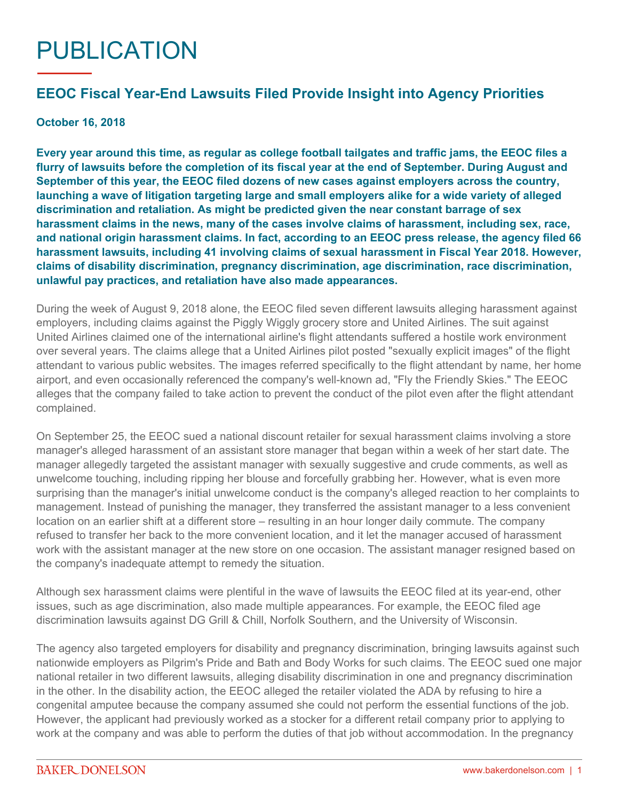## PUBLICATION

## **EEOC Fiscal Year-End Lawsuits Filed Provide Insight into Agency Priorities**

## **October 16, 2018**

**Every year around this time, as regular as college football tailgates and traffic jams, the EEOC files a flurry of lawsuits before the completion of its fiscal year at the end of September. During August and September of this year, the EEOC filed dozens of new cases against employers across the country, launching a wave of litigation targeting large and small employers alike for a wide variety of alleged discrimination and retaliation. As might be predicted given the near constant barrage of sex harassment claims in the news, many of the cases involve claims of harassment, including sex, race, and national origin harassment claims. In fact, [according to an EEOC press release,](https://www.eeoc.gov/eeoc/newsroom/release/10-4-18.cfm) the agency filed 66 harassment lawsuits, including 41 involving claims of sexual harassment in Fiscal Year 2018. However, claims of disability discrimination, pregnancy discrimination, age discrimination, race discrimination, unlawful pay practices, and retaliation have also made appearances.**

During the week of August 9, 2018 alone, the EEOC filed seven different lawsuits alleging harassment against employers, including claims against the Piggly Wiggly grocery store and United Airlines. The suit against United Airlines claimed one of the international airline's flight attendants suffered a hostile work environment over several years. The claims allege that a United Airlines pilot posted "sexually explicit images" of the flight attendant to various public websites. The images referred specifically to the flight attendant by name, her home airport, and even occasionally referenced the company's well-known ad, "Fly the Friendly Skies." The EEOC alleges that the company failed to take action to prevent the conduct of the pilot even after the flight attendant complained.

On September 25, the EEOC sued a national discount retailer for sexual harassment claims involving a store manager's alleged harassment of an assistant store manager that began within a week of her start date. The manager allegedly targeted the assistant manager with sexually suggestive and crude comments, as well as unwelcome touching, including ripping her blouse and forcefully grabbing her. However, what is even more surprising than the manager's initial unwelcome conduct is the company's alleged reaction to her complaints to management. Instead of punishing the manager, they transferred the assistant manager to a less convenient location on an earlier shift at a different store – resulting in an hour longer daily commute. The company refused to transfer her back to the more convenient location, and it let the manager accused of harassment work with the assistant manager at the new store on one occasion. The assistant manager resigned based on the company's inadequate attempt to remedy the situation.

Although sex harassment claims were plentiful in the wave of lawsuits the EEOC filed at its year-end, other issues, such as age discrimination, also made multiple appearances. For example, the EEOC filed age discrimination lawsuits against DG Grill & Chill, Norfolk Southern, and the University of Wisconsin.

The agency also targeted employers for disability and pregnancy discrimination, bringing lawsuits against such nationwide employers as Pilgrim's Pride and Bath and Body Works for such claims. The EEOC sued one major national retailer in two different lawsuits, alleging disability discrimination in one and pregnancy discrimination in the other. In the disability action, the EEOC alleged the retailer violated the ADA by refusing to hire a congenital amputee because the company assumed she could not perform the essential functions of the job. However, the applicant had previously worked as a stocker for a different retail company prior to applying to work at the company and was able to perform the duties of that job without accommodation. In the pregnancy